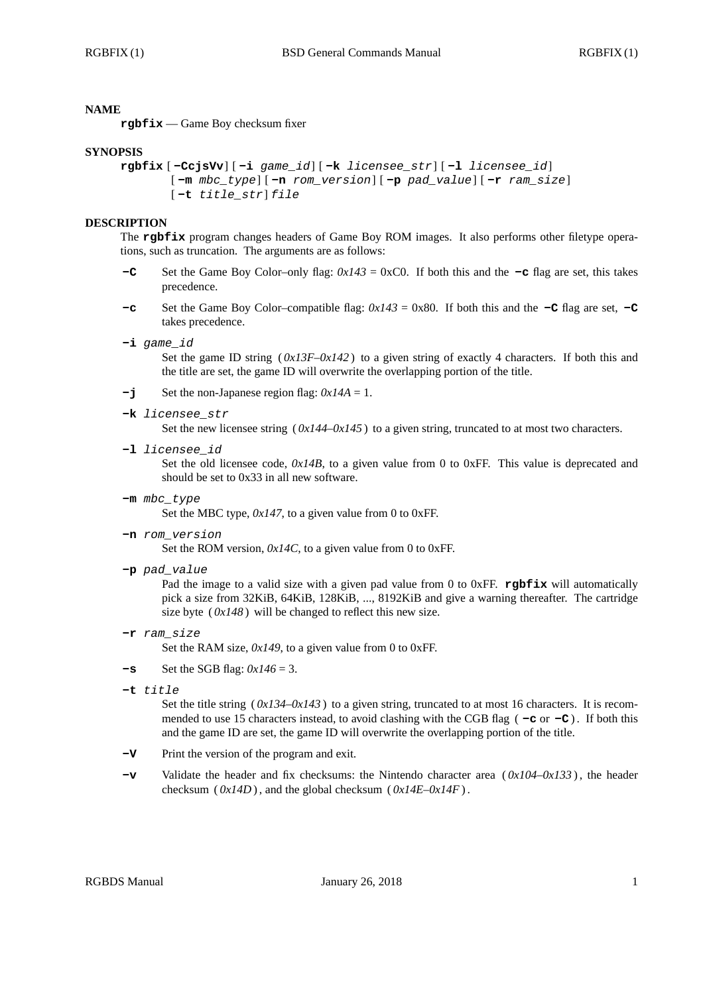### **NAME**

**rgbfix** — Game Boy checksum fixer

#### **SYNOPSIS**

```
rgbfix [ -CcjsVv] [ -i game_id] [ -k licensee_str] [ -l licensee_id]
 [ -m mbc_type] [ -n rom_version] [ -p pad_value] [ -r ram_size]
[ -t title_str] file
```
#### **DESCRIPTION**

The **rgbfix** program changes headers of Game Boy ROM images. It also performs other filetype operations, such as truncation. The arguments are as follows:

- **-C** Set the Game Boy Color–only flag: *0x143* = 0xC0. If both this and the **-c** flag are set, this takes precedence.
- **-c** Set the Game Boy Color–compatible flag:  $0x143 = 0x80$ . If both this and the **-C** flag are set, **-C** takes precedence.
- **-i** *game\_id*

Set the game ID string  $(0x13F-0x142)$  to a given string of exactly 4 characters. If both this and the title are set, the game ID will overwrite the overlapping portion of the title.

- **-j** Set the non-Japanese region flag: *0x14A* = 1.
- **-k** *licensee\_str*

Set the new licensee string  $(0x144-0x145)$  to a given string, truncated to at most two characters.

**-l** *licensee\_id*

Set the old licensee code,  $0x14B$ , to a given value from 0 to 0xFF. This value is deprecated and should be set to 0x33 in all new software.

**-m** *mbc\_type*

Set the MBC type,  $0x147$ , to a given value from 0 to 0xFF.

**-n** *rom\_version*

Set the ROM version,  $0x/4C$ , to a given value from 0 to 0xFF.

**-p** *pad\_value*

Pad the image to a valid size with a given pad value from 0 to 0xFF. **rgbfix** will automatically pick a size from 32KiB, 64KiB, 128KiB, ..., 8192KiB and give a warning thereafter. The cartridge size byte  $(0x148)$  will be changed to reflect this new size.

**-r** *ram\_size*

Set the RAM size,  $0x149$ , to a given value from 0 to 0xFF.

- $-\mathbf{s}$  Set the SGB flag:  $0x/46 = 3$ .
- **-t** *title*

Set the title string  $(0x134-0x143)$  to a given string, truncated to at most 16 characters. It is recommended to use 15 characters instead, to avoid clashing with the CGB flag  $(-c)$  or  $-c$ ). If both this and the game ID are set, the game ID will overwrite the overlapping portion of the title.

- **-V** Print the version of the program and exit.
- **-v** Validate the header and fix checksums: the Nintendo character area ( *0x104*–*0x133* ) , the header checksum ( $0x14D$ ), and the global checksum ( $0x14E-0x14F$ ).